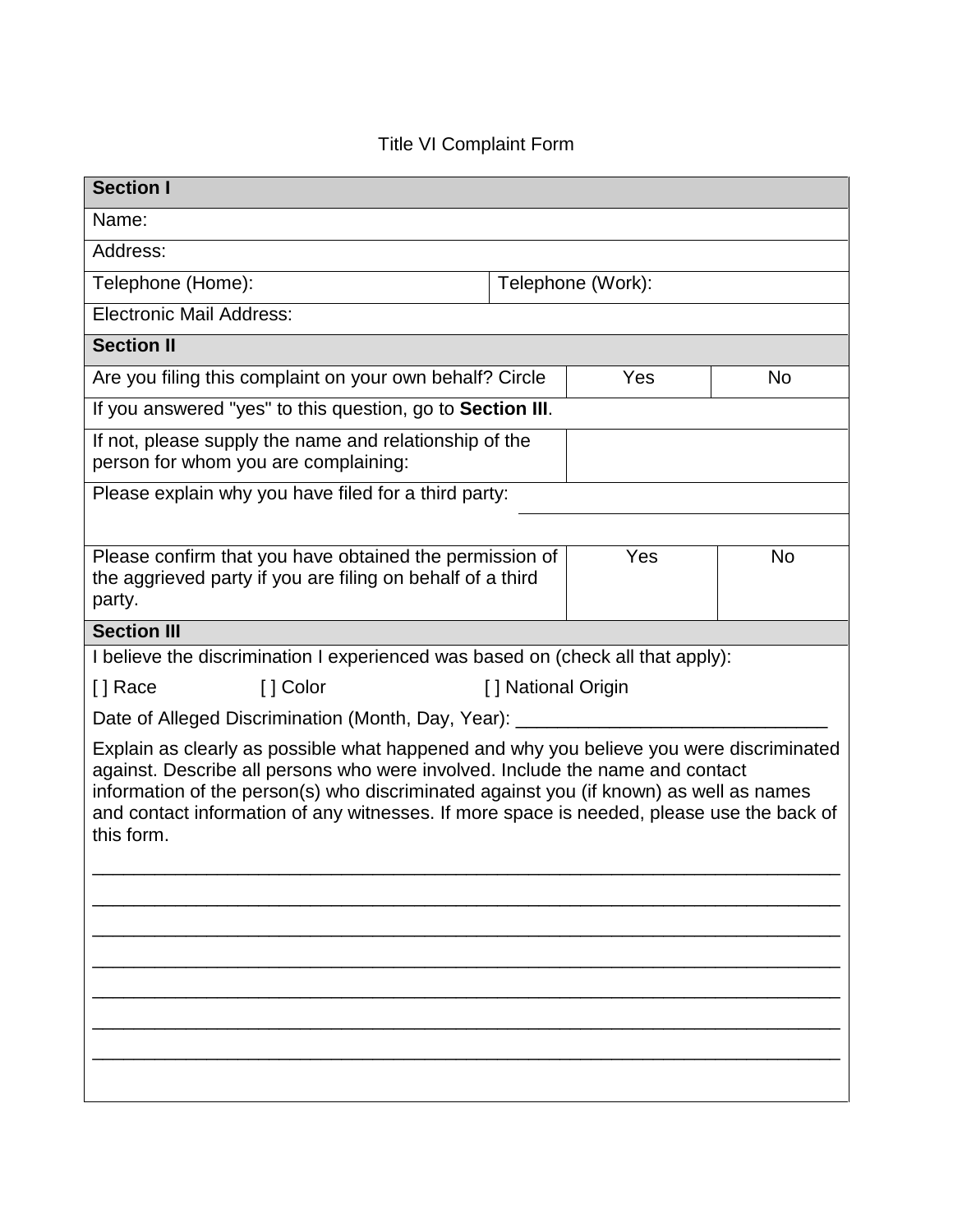## Title VI Complaint Form

| <b>Section I</b>                                                                                                                                                                                                                                                                                                                                                              |                   |     |           |  |  |
|-------------------------------------------------------------------------------------------------------------------------------------------------------------------------------------------------------------------------------------------------------------------------------------------------------------------------------------------------------------------------------|-------------------|-----|-----------|--|--|
| Name:                                                                                                                                                                                                                                                                                                                                                                         |                   |     |           |  |  |
| Address:                                                                                                                                                                                                                                                                                                                                                                      |                   |     |           |  |  |
| Telephone (Home):                                                                                                                                                                                                                                                                                                                                                             | Telephone (Work): |     |           |  |  |
| <b>Electronic Mail Address:</b>                                                                                                                                                                                                                                                                                                                                               |                   |     |           |  |  |
| <b>Section II</b>                                                                                                                                                                                                                                                                                                                                                             |                   |     |           |  |  |
| Are you filing this complaint on your own behalf? Circle                                                                                                                                                                                                                                                                                                                      |                   | Yes | No        |  |  |
| If you answered "yes" to this question, go to Section III.                                                                                                                                                                                                                                                                                                                    |                   |     |           |  |  |
| If not, please supply the name and relationship of the<br>person for whom you are complaining:                                                                                                                                                                                                                                                                                |                   |     |           |  |  |
| Please explain why you have filed for a third party:                                                                                                                                                                                                                                                                                                                          |                   |     |           |  |  |
|                                                                                                                                                                                                                                                                                                                                                                               |                   |     |           |  |  |
| Please confirm that you have obtained the permission of<br>the aggrieved party if you are filing on behalf of a third<br>party.                                                                                                                                                                                                                                               |                   | Yes | <b>No</b> |  |  |
| <b>Section III</b>                                                                                                                                                                                                                                                                                                                                                            |                   |     |           |  |  |
| I believe the discrimination I experienced was based on (check all that apply):                                                                                                                                                                                                                                                                                               |                   |     |           |  |  |
| [ ] Color<br>[ ] Race<br>[] National Origin                                                                                                                                                                                                                                                                                                                                   |                   |     |           |  |  |
| Date of Alleged Discrimination (Month, Day, Year):                                                                                                                                                                                                                                                                                                                            |                   |     |           |  |  |
| Explain as clearly as possible what happened and why you believe you were discriminated<br>against. Describe all persons who were involved. Include the name and contact<br>information of the person(s) who discriminated against you (if known) as well as names<br>and contact information of any witnesses. If more space is needed, please use the back of<br>this form. |                   |     |           |  |  |
|                                                                                                                                                                                                                                                                                                                                                                               |                   |     |           |  |  |
|                                                                                                                                                                                                                                                                                                                                                                               |                   |     |           |  |  |
|                                                                                                                                                                                                                                                                                                                                                                               |                   |     |           |  |  |
|                                                                                                                                                                                                                                                                                                                                                                               |                   |     |           |  |  |
|                                                                                                                                                                                                                                                                                                                                                                               |                   |     |           |  |  |
|                                                                                                                                                                                                                                                                                                                                                                               |                   |     |           |  |  |
|                                                                                                                                                                                                                                                                                                                                                                               |                   |     |           |  |  |
|                                                                                                                                                                                                                                                                                                                                                                               |                   |     |           |  |  |